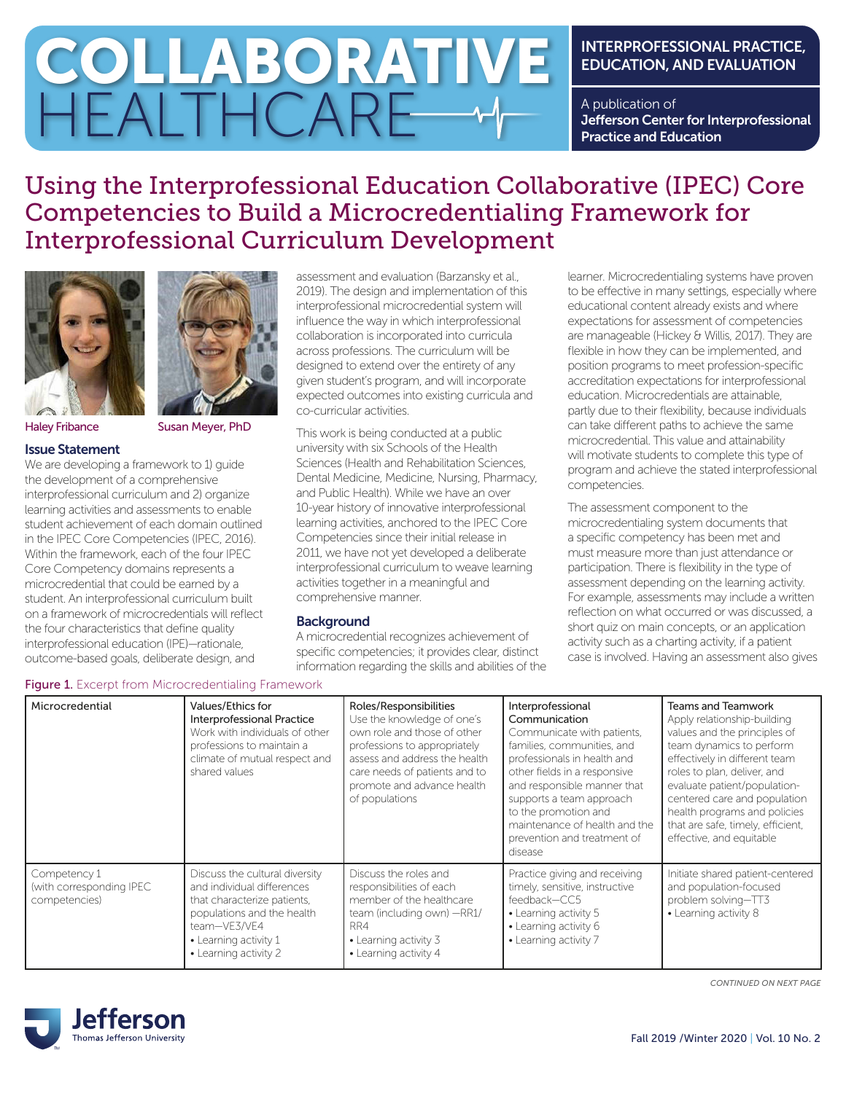# COLLABORATIVE HEALTHCARE

# INTERPROFESSIONAL PRACTICE, EDUCATION, AND EVALUATION

A publication of Jefferson Center for Interprofessional Practice and Education

# Using the Interprofessional Education Collaborative (IPEC) Core Competencies to Build a Microcredentialing Framework for Interprofessional Curriculum Development





Haley Fribance Susan Meyer, PhD

#### Issue Statement

We are developing a framework to 1) quide the development of a comprehensive interprofessional curriculum and 2) organize learning activities and assessments to enable student achievement of each domain outlined in the IPEC Core Competencies (IPEC, 2016). Within the framework, each of the four IPEC Core Competency domains represents a microcredential that could be earned by a student. An interprofessional curriculum built on a framework of microcredentials will reflect the four characteristics that define quality interprofessional education (IPE)—rationale, outcome-based goals, deliberate design, and

assessment and evaluation (Barzansky et al., 2019). The design and implementation of this interprofessional microcredential system will influence the way in which interprofessional collaboration is incorporated into curricula across professions. The curriculum will be designed to extend over the entirety of any given student's program, and will incorporate expected outcomes into existing curricula and co-curricular activities.

This work is being conducted at a public university with six Schools of the Health Sciences (Health and Rehabilitation Sciences, Dental Medicine, Medicine, Nursing, Pharmacy, and Public Health). While we have an over 10-year history of innovative interprofessional learning activities, anchored to the IPEC Core Competencies since their initial release in 2011, we have not yet developed a deliberate interprofessional curriculum to weave learning activities together in a meaningful and comprehensive manner.

# **Background**

A microcredential recognizes achievement of specific competencies; it provides clear, distinct information regarding the skills and abilities of the learner. Microcredentialing systems have proven to be effective in many settings, especially where educational content already exists and where expectations for assessment of competencies are manageable (Hickey & Willis, 2017). They are flexible in how they can be implemented, and position programs to meet profession-specific accreditation expectations for interprofessional education. Microcredentials are attainable, partly due to their flexibility, because individuals can take different paths to achieve the same microcredential. This value and attainability will motivate students to complete this type of program and achieve the stated interprofessional competencies.

The assessment component to the microcredentialing system documents that a specific competency has been met and must measure more than just attendance or participation. There is flexibility in the type of assessment depending on the learning activity. For example, assessments may include a written reflection on what occurred or was discussed, a short quiz on main concepts, or an application activity such as a charting activity, if a patient case is involved. Having an assessment also gives

| Microcredential                                           | Values/Ethics for<br><b>Interprofessional Practice</b><br>Work with individuals of other<br>professions to maintain a<br>climate of mutual respect and<br>shared values                     | Roles/Responsibilities<br>Use the knowledge of one's<br>own role and those of other<br>professions to appropriately<br>assess and address the health<br>care needs of patients and to<br>promote and advance health<br>of populations | Interprofessional<br>Communication<br>Communicate with patients,<br>families, communities, and<br>professionals in health and<br>other fields in a responsive<br>and responsible manner that<br>supports a team approach<br>to the promotion and<br>maintenance of health and the<br>prevention and treatment of<br>disease | <b>Teams and Teamwork</b><br>Apply relationship-building<br>values and the principles of<br>team dynamics to perform<br>effectively in different team<br>roles to plan, deliver, and<br>evaluate patient/population-<br>centered care and population<br>health programs and policies<br>that are safe, timely, efficient,<br>effective, and equitable |
|-----------------------------------------------------------|---------------------------------------------------------------------------------------------------------------------------------------------------------------------------------------------|---------------------------------------------------------------------------------------------------------------------------------------------------------------------------------------------------------------------------------------|-----------------------------------------------------------------------------------------------------------------------------------------------------------------------------------------------------------------------------------------------------------------------------------------------------------------------------|-------------------------------------------------------------------------------------------------------------------------------------------------------------------------------------------------------------------------------------------------------------------------------------------------------------------------------------------------------|
| Competency 1<br>(with corresponding IPEC<br>competencies) | Discuss the cultural diversity<br>and individual differences<br>that characterize patients,<br>populations and the health<br>team-VE3/VE4<br>• Learning activity 1<br>• Learning activity 2 | Discuss the roles and<br>responsibilities of each<br>member of the healthcare<br>team (including own) -RR1/<br>RR4<br>• Learning activity 3<br>• Learning activity 4                                                                  | Practice giving and receiving<br>timely, sensitive, instructive<br>feedback-CC5<br>• Learning activity 5<br>· Learning activity 6<br>• Learning activity 7                                                                                                                                                                  | Initiate shared patient-centered<br>and population-focused<br>problem solving-TT3<br>• Learning activity 8                                                                                                                                                                                                                                            |

# Figure 1. Excerpt from Microcredentialing Framework



*CONTINUED ON NEXT PAGE*